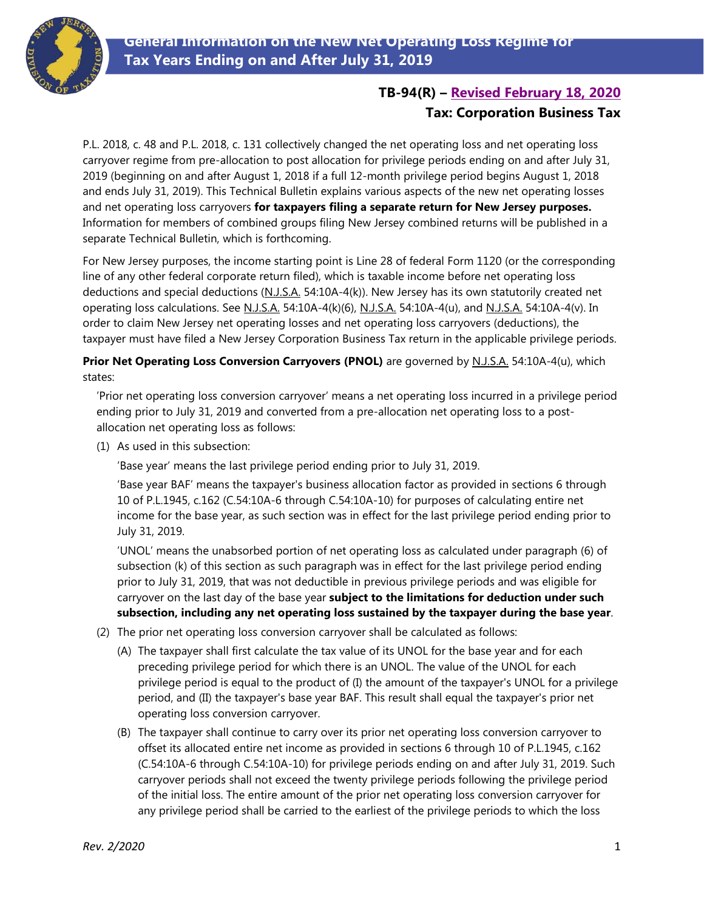

# **TB-94(R) – [Revised February 18, 2020](#page-4-0) Tax: Corporation Business Tax**

P.L. 2018, c. 48 and P.L. 2018, c. 131 collectively changed the net operating loss and net operating loss carryover regime from pre-allocation to post allocation for privilege periods ending on and after July 31, 2019 (beginning on and after August 1, 2018 if a full 12-month privilege period begins August 1, 2018 and ends July 31, 2019). This Technical Bulletin explains various aspects of the new net operating losses and net operating loss carryovers **for taxpayers filing a separate return for New Jersey purposes.**  Information for members of combined groups filing New Jersey combined returns will be published in a separate Technical Bulletin, which is forthcoming.

For New Jersey purposes, the income starting point is Line 28 of federal Form 1120 (or the corresponding line of any other federal corporate return filed), which is taxable income before net operating loss deductions and special deductions (N.J.S.A. 54:10A-4(k)). New Jersey has its own statutorily created net operating loss calculations. See N.J.S.A. 54:10A-4(k)(6), N.J.S.A. 54:10A-4(u), and N.J.S.A. 54:10A-4(v). In order to claim New Jersey net operating losses and net operating loss carryovers (deductions), the taxpayer must have filed a New Jersey Corporation Business Tax return in the applicable privilege periods.

**Prior Net Operating Loss Conversion Carryovers (PNOL)** are governed by N.J.S.A. 54:10A-4(u), which states:

'Prior net operating loss conversion carryover' means a net operating loss incurred in a privilege period ending prior to July 31, 2019 and converted from a pre-allocation net operating loss to a postallocation net operating loss as follows:

(1) As used in this subsection:

'Base year' means the last privilege period ending prior to July 31, 2019.

'Base year BAF' means the taxpayer's business allocation factor as provided in sections 6 through 10 of P.L.1945, c.162 (C.54:10A-6 through C.54:10A-10) for purposes of calculating entire net income for the base year, as such section was in effect for the last privilege period ending prior to July 31, 2019.

<span id="page-0-0"></span>'UNOL' means the unabsorbed portion of net operating loss as calculated under paragraph (6) of subsection (k) of this section as such paragraph was in effect for the last privilege period ending prior to July 31, 2019, that was not deductible in previous privilege periods and was eligible for carryover on the last day of the base year **subject to the limitations for deduction under such subsection, including any net operating loss sustained by the taxpayer during the base year**.

- (2) The prior net operating loss conversion carryover shall be calculated as follows:
	- (A) The taxpayer shall first calculate the tax value of its UNOL for the base year and for each preceding privilege period for which there is an UNOL. The value of the UNOL for each privilege period is equal to the product of (I) the amount of the taxpayer's UNOL for a privilege period, and (II) the taxpayer's base year BAF. This result shall equal the taxpayer's prior net operating loss conversion carryover.
	- (B) The taxpayer shall continue to carry over its prior net operating loss conversion carryover to offset its allocated entire net income as provided in sections 6 through 10 of P.L.1945, c.162 (C.54:10A-6 through C.54:10A-10) for privilege periods ending on and after July 31, 2019. Such carryover periods shall not exceed the twenty privilege periods following the privilege period of the initial loss. The entire amount of the prior net operating loss conversion carryover for any privilege period shall be carried to the earliest of the privilege periods to which the loss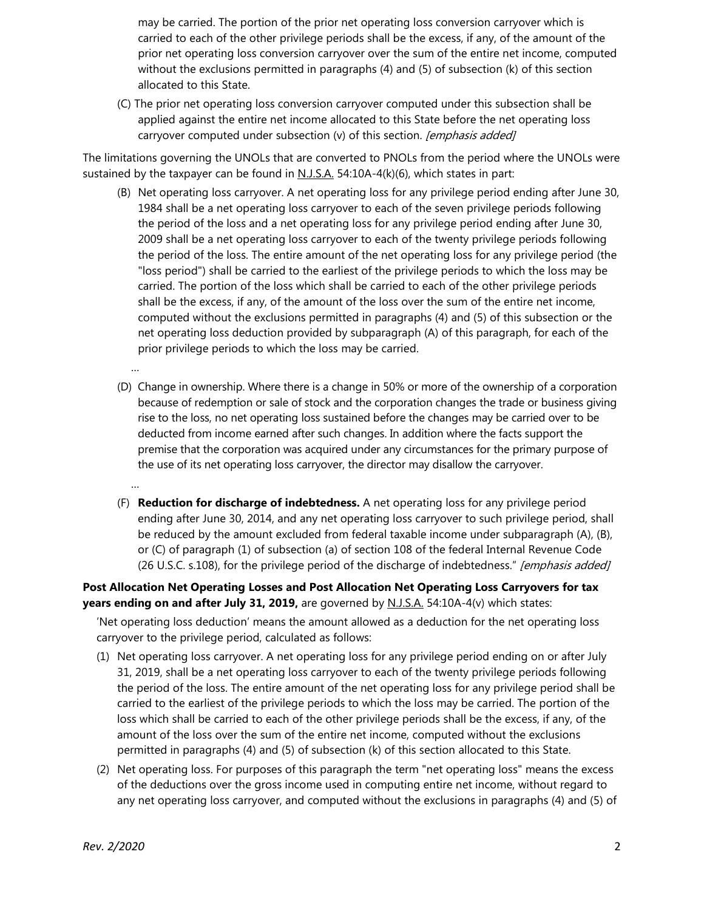may be carried. The portion of the prior net operating loss conversion carryover which is carried to each of the other privilege periods shall be the excess, if any, of the amount of the prior net operating loss conversion carryover over the sum of the entire net income, computed without the exclusions permitted in paragraphs (4) and (5) of subsection (k) of this section allocated to this State.

(C) The prior net operating loss conversion carryover computed under this subsection shall be applied against the entire net income allocated to this State before the net operating loss carryover computed under subsection (v) of this section. *[emphasis added]* 

The limitations governing the UNOLs that are converted to PNOLs from the period where the UNOLs were sustained by the taxpayer can be found in  $N.J.S.A.$  54:10A-4(k)(6), which states in part:

- (B) Net operating loss carryover. A net operating loss for any privilege period ending after June 30, 1984 shall be a net operating loss carryover to each of the seven privilege periods following the period of the loss and a net operating loss for any privilege period ending after June 30, 2009 shall be a net operating loss carryover to each of the twenty privilege periods following the period of the loss. The entire amount of the net operating loss for any privilege period (the "loss period") shall be carried to the earliest of the privilege periods to which the loss may be carried. The portion of the loss which shall be carried to each of the other privilege periods shall be the excess, if any, of the amount of the loss over the sum of the entire net income, computed without the exclusions permitted in paragraphs (4) and (5) of this subsection or the net operating loss deduction provided by subparagraph (A) of this paragraph, for each of the prior privilege periods to which the loss may be carried.
- (D) Change in ownership. Where there is a change in 50% or more of the ownership of a corporation because of redemption or sale of stock and the corporation changes the trade or business giving rise to the loss, no net operating loss sustained before the changes may be carried over to be deducted from income earned after such changes. In addition where the facts support the premise that the corporation was acquired under any circumstances for the primary purpose of the use of its net operating loss carryover, the director may disallow the carryover.
- (F) **Reduction for discharge of indebtedness.** A net operating loss for any privilege period ending after June 30, 2014, and any net operating loss carryover to such privilege period, shall be reduced by the amount excluded from federal taxable income under subparagraph (A), (B), or (C) of paragraph (1) of subsection (a) of section 108 of the federal Internal Revenue Code (26 U.S.C. s.108), for the privilege period of the discharge of indebtedness." [emphasis added]

#### **Post Allocation Net Operating Losses and Post Allocation Net Operating Loss Carryovers for tax years ending on and after July 31, 2019,** are governed by N.J.S.A. 54:10A-4(v) which states:

'Net operating loss deduction' means the amount allowed as a deduction for the net operating loss carryover to the privilege period, calculated as follows:

- (1) Net operating loss carryover. A net operating loss for any privilege period ending on or after July 31, 2019, shall be a net operating loss carryover to each of the twenty privilege periods following the period of the loss. The entire amount of the net operating loss for any privilege period shall be carried to the earliest of the privilege periods to which the loss may be carried. The portion of the loss which shall be carried to each of the other privilege periods shall be the excess, if any, of the amount of the loss over the sum of the entire net income, computed without the exclusions permitted in paragraphs (4) and (5) of subsection (k) of this section allocated to this State.
- (2) Net operating loss. For purposes of this paragraph the term "net operating loss" means the excess of the deductions over the gross income used in computing entire net income, without regard to any net operating loss carryover, and computed without the exclusions in paragraphs (4) and (5) of

…

…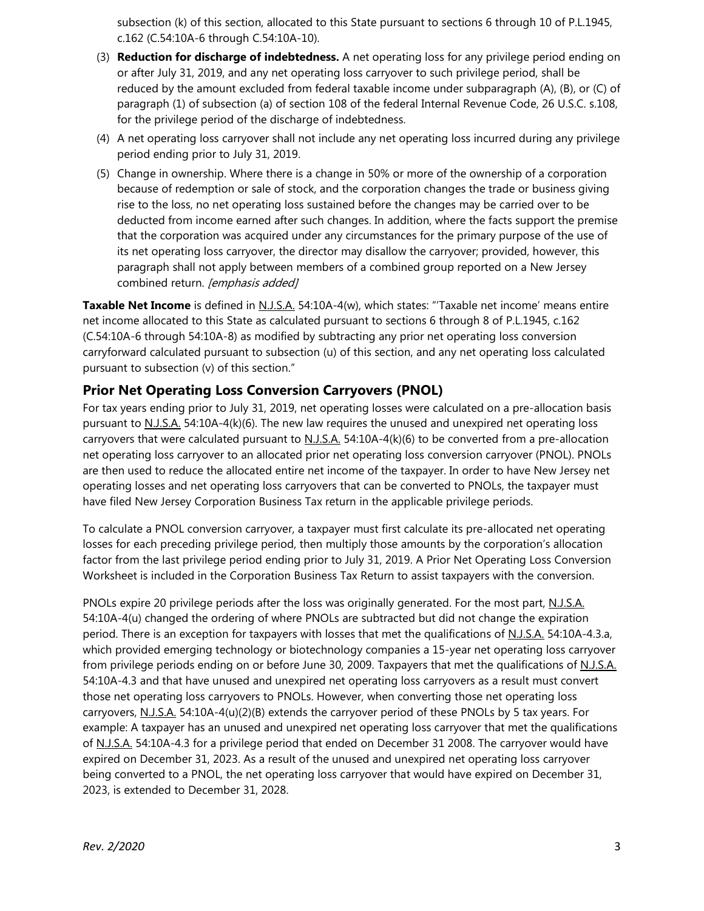subsection (k) of this section, allocated to this State pursuant to sections 6 through 10 of P.L.1945, c.162 (C.54:10A-6 through C.54:10A-10).

- (3) **Reduction for discharge of indebtedness.** A net operating loss for any privilege period ending on or after July 31, 2019, and any net operating loss carryover to such privilege period, shall be reduced by the amount excluded from federal taxable income under subparagraph (A), (B), or (C) of paragraph (1) of subsection (a) of section 108 of the federal Internal Revenue Code, 26 U.S.C. s.108, for the privilege period of the discharge of indebtedness.
- (4) A net operating loss carryover shall not include any net operating loss incurred during any privilege period ending prior to July 31, 2019.
- (5) Change in ownership. Where there is a change in 50% or more of the ownership of a corporation because of redemption or sale of stock, and the corporation changes the trade or business giving rise to the loss, no net operating loss sustained before the changes may be carried over to be deducted from income earned after such changes. In addition, where the facts support the premise that the corporation was acquired under any circumstances for the primary purpose of the use of its net operating loss carryover, the director may disallow the carryover; provided, however, this paragraph shall not apply between members of a combined group reported on a New Jersey combined return. [emphasis added]

**Taxable Net Income** is defined in N.J.S.A. 54:10A-4(w), which states: "'Taxable net income' means entire net income allocated to this State as calculated pursuant to sections 6 through 8 of P.L.1945, c.162 (C.54:10A-6 through 54:10A-8) as modified by subtracting any prior net operating loss conversion carryforward calculated pursuant to subsection (u) of this section, and any net operating loss calculated pursuant to subsection (v) of this section."

### **Prior Net Operating Loss Conversion Carryovers (PNOL)**

For tax years ending prior to July 31, 2019, net operating losses were calculated on a pre-allocation basis pursuant to N.J.S.A. 54:10A-4(k)(6). The new law requires the unused and unexpired net operating loss carryovers that were calculated pursuant to  $N.J.S.A.$  54:10A-4(k)(6) to be converted from a pre-allocation net operating loss carryover to an allocated prior net operating loss conversion carryover (PNOL). PNOLs are then used to reduce the allocated entire net income of the taxpayer. In order to have New Jersey net operating losses and net operating loss carryovers that can be converted to PNOLs, the taxpayer must have filed New Jersey Corporation Business Tax return in the applicable privilege periods.

To calculate a PNOL conversion carryover, a taxpayer must first calculate its pre-allocated net operating losses for each preceding privilege period, then multiply those amounts by the corporation's allocation factor from the last privilege period ending prior to July 31, 2019. A Prior Net Operating Loss Conversion Worksheet is included in the Corporation Business Tax Return to assist taxpayers with the conversion.

PNOLs expire 20 privilege periods after the loss was originally generated. For the most part, N.J.S.A. 54:10A-4(u) changed the ordering of where PNOLs are subtracted but did not change the expiration period. There is an exception for taxpayers with losses that met the qualifications of N.J.S.A. 54:10A-4.3.a, which provided emerging technology or biotechnology companies a 15-year net operating loss carryover from privilege periods ending on or before June 30, 2009. Taxpayers that met the qualifications of N.J.S.A. 54:10A-4.3 and that have unused and unexpired net operating loss carryovers as a result must convert those net operating loss carryovers to PNOLs. However, when converting those net operating loss carryovers, N.J.S.A. 54:10A-4(u)(2)(B) extends the carryover period of these PNOLs by 5 tax years. For example: A taxpayer has an unused and unexpired net operating loss carryover that met the qualifications of N.J.S.A. 54:10A-4.3 for a privilege period that ended on December 31 2008. The carryover would have expired on December 31, 2023. As a result of the unused and unexpired net operating loss carryover being converted to a PNOL, the net operating loss carryover that would have expired on December 31, 2023, is extended to December 31, 2028.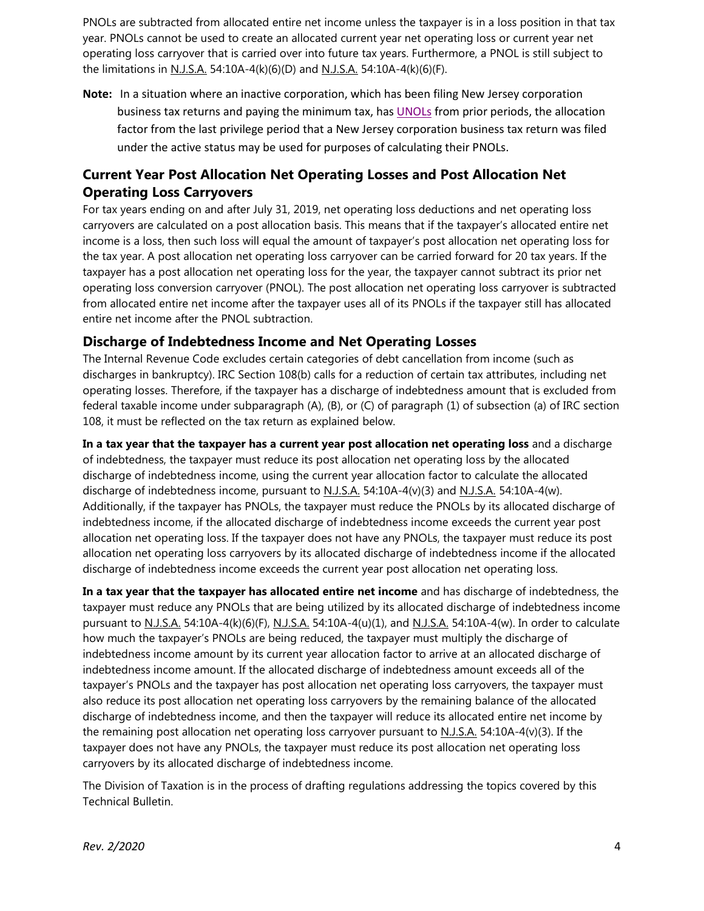PNOLs are subtracted from allocated entire net income unless the taxpayer is in a loss position in that tax year. PNOLs cannot be used to create an allocated current year net operating loss or current year net operating loss carryover that is carried over into future tax years. Furthermore, a PNOL is still subject to the limitations in <u>N.J.S.A.</u> 54:10A-4(k)(6)(D) and <u>N.J.S.A.</u> 54:10A-4(k)(6)(F).

**Note:** In a situation where an inactive corporation, which has been filing New Jersey corporation business tax returns and paying the minimum tax, has **UNOLs** from prior periods, the allocation factor from the last privilege period that a New Jersey corporation business tax return was filed under the active status may be used for purposes of calculating their PNOLs.

## **Current Year Post Allocation Net Operating Losses and Post Allocation Net Operating Loss Carryovers**

For tax years ending on and after July 31, 2019, net operating loss deductions and net operating loss carryovers are calculated on a post allocation basis. This means that if the taxpayer's allocated entire net income is a loss, then such loss will equal the amount of taxpayer's post allocation net operating loss for the tax year. A post allocation net operating loss carryover can be carried forward for 20 tax years. If the taxpayer has a post allocation net operating loss for the year, the taxpayer cannot subtract its prior net operating loss conversion carryover (PNOL). The post allocation net operating loss carryover is subtracted from allocated entire net income after the taxpayer uses all of its PNOLs if the taxpayer still has allocated entire net income after the PNOL subtraction.

### **Discharge of Indebtedness Income and Net Operating Losses**

The Internal Revenue Code excludes certain categories of debt cancellation from income (such as discharges in bankruptcy). IRC Section 108(b) calls for a reduction of certain tax attributes, including net operating losses. Therefore, if the taxpayer has a discharge of indebtedness amount that is excluded from federal taxable income under subparagraph (A), (B), or (C) of paragraph (1) of subsection (a) of IRC section 108, it must be reflected on the tax return as explained below.

**In a tax year that the taxpayer has a current year post allocation net operating loss** and a discharge of indebtedness, the taxpayer must reduce its post allocation net operating loss by the allocated discharge of indebtedness income, using the current year allocation factor to calculate the allocated discharge of indebtedness income, pursuant to N.J.S.A. 54:10A-4(v)(3) and N.J.S.A. 54:10A-4(w). Additionally, if the taxpayer has PNOLs, the taxpayer must reduce the PNOLs by its allocated discharge of indebtedness income, if the allocated discharge of indebtedness income exceeds the current year post allocation net operating loss. If the taxpayer does not have any PNOLs, the taxpayer must reduce its post allocation net operating loss carryovers by its allocated discharge of indebtedness income if the allocated discharge of indebtedness income exceeds the current year post allocation net operating loss.

**In a tax year that the taxpayer has allocated entire net income** and has discharge of indebtedness, the taxpayer must reduce any PNOLs that are being utilized by its allocated discharge of indebtedness income pursuant to N.J.S.A. 54:10A-4(k)(6)(F), N.J.S.A. 54:10A-4(u)(1), and N.J.S.A. 54:10A-4(w). In order to calculate how much the taxpayer's PNOLs are being reduced, the taxpayer must multiply the discharge of indebtedness income amount by its current year allocation factor to arrive at an allocated discharge of indebtedness income amount. If the allocated discharge of indebtedness amount exceeds all of the taxpayer's PNOLs and the taxpayer has post allocation net operating loss carryovers, the taxpayer must also reduce its post allocation net operating loss carryovers by the remaining balance of the allocated discharge of indebtedness income, and then the taxpayer will reduce its allocated entire net income by the remaining post allocation net operating loss carryover pursuant to  $N_J.S.A.$  54:10A-4(v)(3). If the taxpayer does not have any PNOLs, the taxpayer must reduce its post allocation net operating loss carryovers by its allocated discharge of indebtedness income.

The Division of Taxation is in the process of drafting regulations addressing the topics covered by this Technical Bulletin.